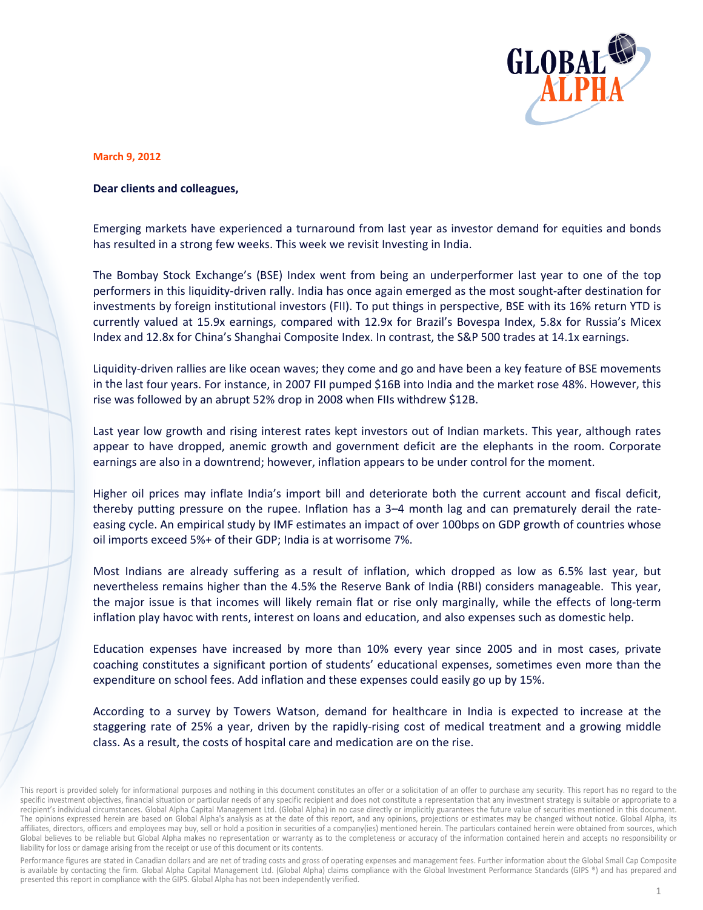

## **March 9, 2012**

## Dear clients and colleagues,

Emerging markets have experienced a turnaround from last year as investor demand for equities and bonds has resulted in a strong few weeks. This week we revisit Investing in India.

The Bombay Stock Exchange's (BSE) Index went from being an underperformer last year to one of the top performers in this liquidity-driven rally. India has once again emerged as the most sought-after destination for investments by foreign institutional investors (FII). To put things in perspective, BSE with its 16% return YTD is currently valued at 15.9x earnings, compared with 12.9x for Brazil's Bovespa Index, 5.8x for Russia's Micex Index and 12.8x for China's Shanghai Composite Index. In contrast, the S&P 500 trades at 14.1x earnings.

Liquidity-driven rallies are like ocean waves; they come and go and have been a key feature of BSE movements in the last four years. For instance, in 2007 FII pumped \$16B into India and the market rose 48%. However, this rise was followed by an abrupt 52% drop in 2008 when FIIs withdrew \$12B.

Last year low growth and rising interest rates kept investors out of Indian markets. This year, although rates appear to have dropped, anemic growth and government deficit are the elephants in the room. Corporate earnings are also in a downtrend; however, inflation appears to be under control for the moment.

Higher oil prices may inflate India's import bill and deteriorate both the current account and fiscal deficit, thereby putting pressure on the rupee. Inflation has a 3–4 month lag and can prematurely derail the rateeasing cycle. An empirical study by IMF estimates an impact of over 100bps on GDP growth of countries whose oil imports exceed 5%+ of their GDP; India is at worrisome 7%.

Most Indians are already suffering as a result of inflation, which dropped as low as 6.5% last year, but nevertheless remains higher than the 4.5% the Reserve Bank of India (RBI) considers manageable. This year, the major issue is that incomes will likely remain flat or rise only marginally, while the effects of long-term inflation play havoc with rents, interest on loans and education, and also expenses such as domestic help.

Education expenses have increased by more than 10% every year since 2005 and in most cases, private coaching constitutes a significant portion of students' educational expenses, sometimes even more than the expenditure on school fees. Add inflation and these expenses could easily go up by 15%.

According to a survey by Towers Watson, demand for healthcare in India is expected to increase at the staggering rate of 25% a year, driven by the rapidly-rising cost of medical treatment and a growing middle class. As a result, the costs of hospital care and medication are on the rise.

Performance figures are stated in Canadian dollars and are net of trading costs and gross of operating expenses and management fees. Further information about the Global Small Cap Composite is available by contacting the firm. Global Alpha Capital Management Ltd. (Global Alpha) claims compliance with the Global Investment Performance Standards (GIPS ®) and has prepared and presented this report in compliance with the GIPS. Global Alpha has not been independently verified.

This report is provided solely for informational purposes and nothing in this document constitutes an offer or a solicitation of an offer to purchase any security. This report has no regard to the specific investment objectives, financial situation or particular needs of any specific recipient and does not constitute a representation that any investment strategy is suitable or appropriate to a recipient's individual circumstances. Global Alpha Capital Management Ltd. (Global Alpha) in no case directly or implicitly guarantees the future value of securities mentioned in this document. The opinions expressed herein are based on Global Alpha's analysis as at the date of this report, and any opinions, projections or estimates may be changed without notice. Global Alpha, its affiliates, directors, officers and employees may buy, sell or hold a position in securities of a company(ies) mentioned herein. The particulars contained herein were obtained from sources, which Global believes to be reliable but Global Alpha makes no representation or warranty as to the completeness or accuracy of the information contained herein and accepts no responsibility or liability for loss or damage arising from the receipt or use of this document or its contents.